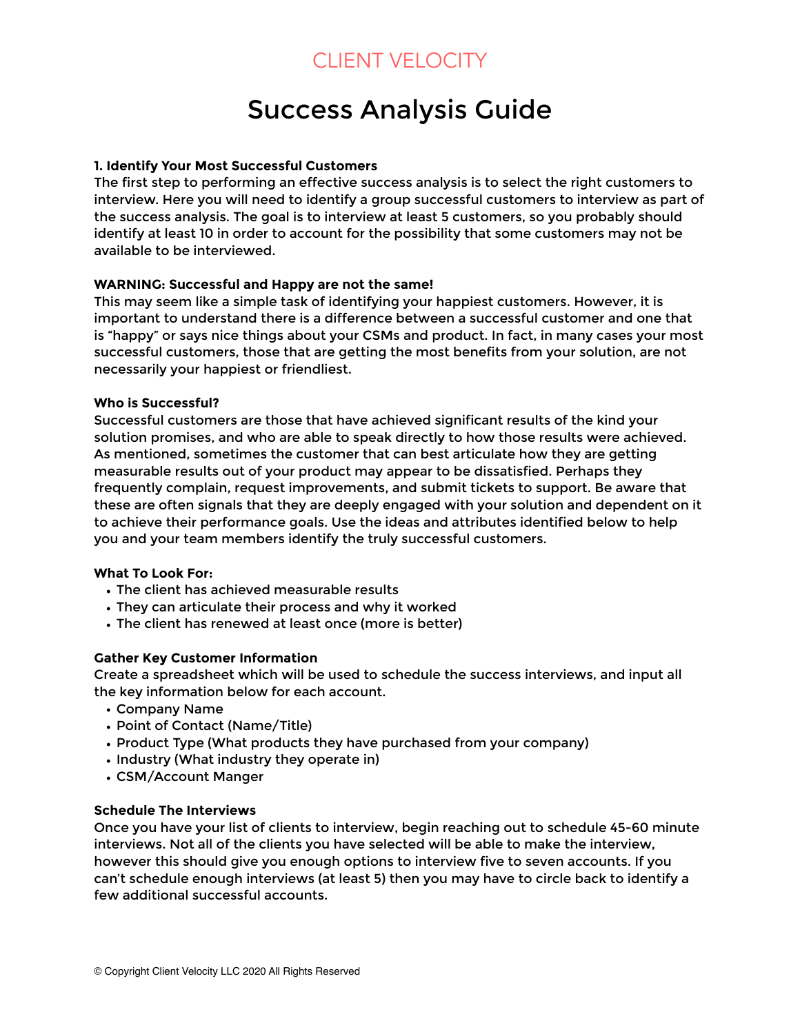# Success Analysis Guide

#### **1. Identify Your Most Successful Customers**

The first step to performing an effective success analysis is to select the right customers to interview. Here you will need to identify a group successful customers to interview as part of the success analysis. The goal is to interview at least 5 customers, so you probably should identify at least 10 in order to account for the possibility that some customers may not be available to be interviewed.

#### **WARNING: Successful and Happy are not the same!**

This may seem like a simple task of identifying your happiest customers. However, it is important to understand there is a difference between a successful customer and one that is "happy" or says nice things about your CSMs and product. In fact, in many cases your most successful customers, those that are getting the most benefits from your solution, are not necessarily your happiest or friendliest.

#### **Who is Successful?**

Successful customers are those that have achieved significant results of the kind your solution promises, and who are able to speak directly to how those results were achieved. As mentioned, sometimes the customer that can best articulate how they are getting measurable results out of your product may appear to be dissatisfied. Perhaps they frequently complain, request improvements, and submit tickets to support. Be aware that these are often signals that they are deeply engaged with your solution and dependent on it to achieve their performance goals. Use the ideas and attributes identified below to help you and your team members identify the truly successful customers.

#### **What To Look For:**

- The client has achieved measurable results
- They can articulate their process and why it worked
- The client has renewed at least once (more is better)

#### **Gather Key Customer Information**

Create a spreadsheet which will be used to schedule the success interviews, and input all the key information below for each account.

- Company Name
- Point of Contact (Name/Title)
- Product Type (What products they have purchased from your company)
- Industry (What industry they operate in)
- CSM/Account Manger

#### **Schedule The Interviews**

Once you have your list of clients to interview, begin reaching out to schedule 45-60 minute interviews. Not all of the clients you have selected will be able to make the interview, however this should give you enough options to interview five to seven accounts. If you can't schedule enough interviews (at least 5) then you may have to circle back to identify a few additional successful accounts.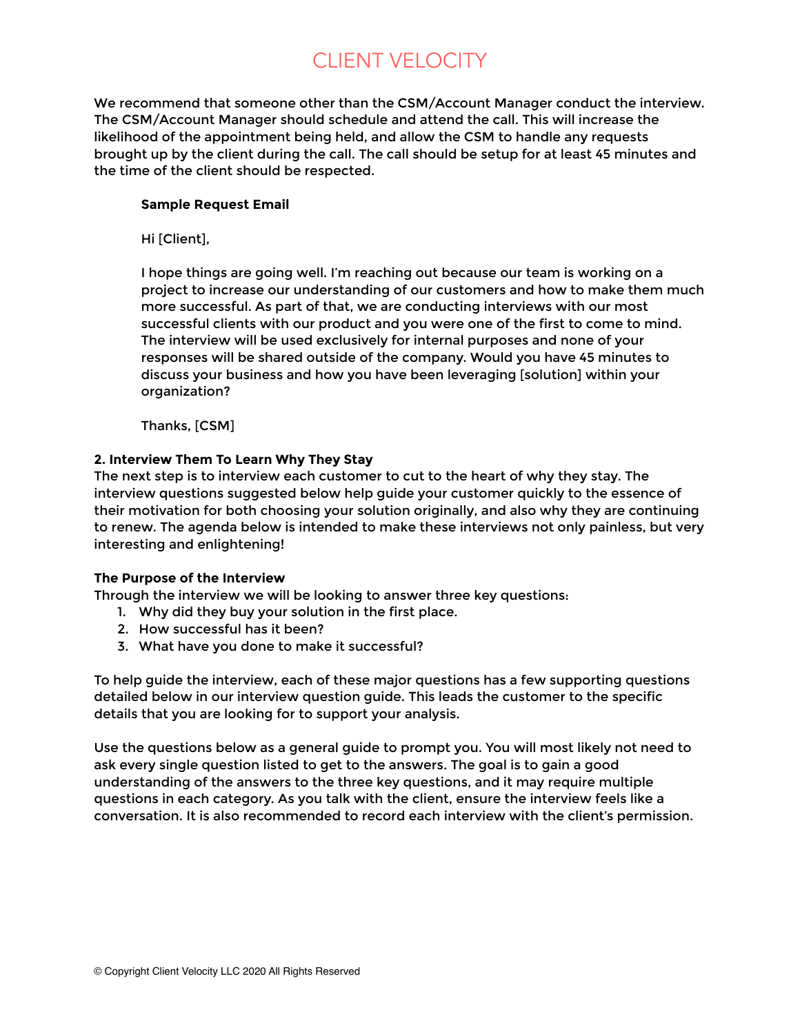We recommend that someone other than the CSM/Account Manager conduct the interview. The CSM/Account Manager should schedule and attend the call. This will increase the likelihood of the appointment being held, and allow the CSM to handle any requests brought up by the client during the call. The call should be setup for at least 45 minutes and the time of the client should be respected.

#### **Sample Request Email**

Hi [Client],

I hope things are going well. I'm reaching out because our team is working on a project to increase our understanding of our customers and how to make them much more successful. As part of that, we are conducting interviews with our most successful clients with our product and you were one of the first to come to mind. The interview will be used exclusively for internal purposes and none of your responses will be shared outside of the company. Would you have 45 minutes to discuss your business and how you have been leveraging [solution] within your organization?

Thanks, [CSM]

#### **2. Interview Them To Learn Why They Stay**

The next step is to interview each customer to cut to the heart of why they stay. The interview questions suggested below help guide your customer quickly to the essence of their motivation for both choosing your solution originally, and also why they are continuing to renew. The agenda below is intended to make these interviews not only painless, but very interesting and enlightening!

#### **The Purpose of the Interview**

Through the interview we will be looking to answer three key questions:

- 1. Why did they buy your solution in the first place.
- 2. How successful has it been?
- 3. What have you done to make it successful?

To help guide the interview, each of these major questions has a few supporting questions detailed below in our interview question guide. This leads the customer to the specific details that you are looking for to support your analysis.

Use the questions below as a general guide to prompt you. You will most likely not need to ask every single question listed to get to the answers. The goal is to gain a good understanding of the answers to the three key questions, and it may require multiple questions in each category. As you talk with the client, ensure the interview feels like a conversation. It is also recommended to record each interview with the client's permission.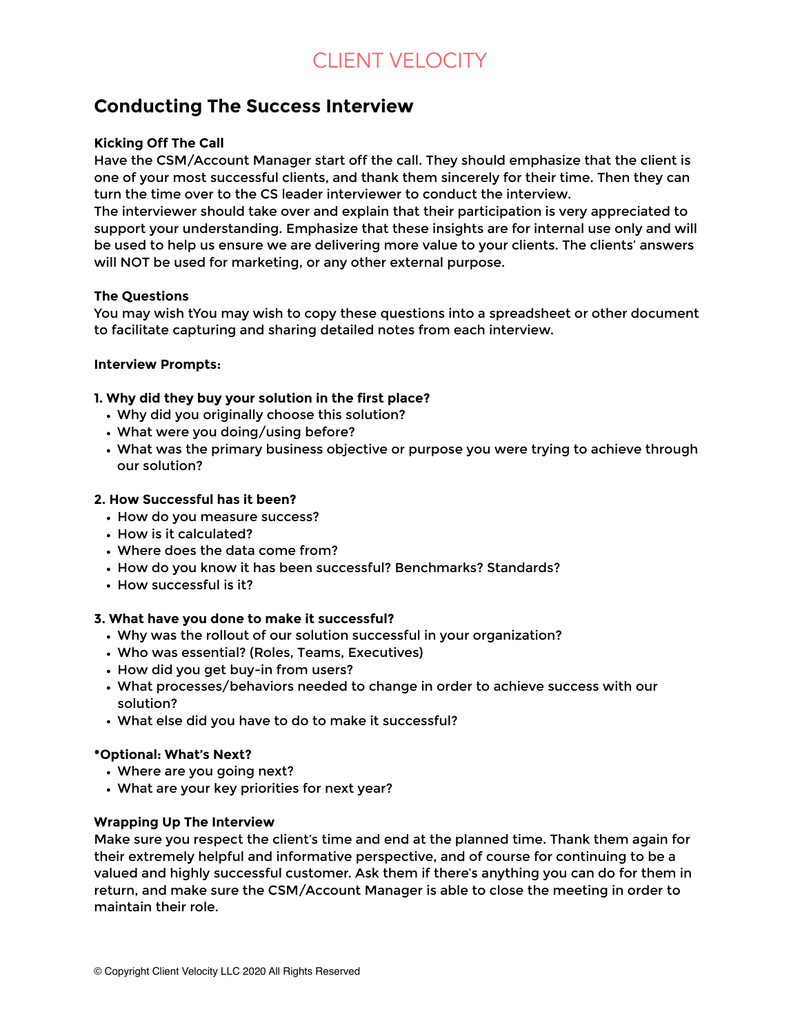### **Conducting The Success Interview**

#### **Kicking Off The Call**

Have the CSM/Account Manager start off the call. They should emphasize that the client is one of your most successful clients, and thank them sincerely for their time. Then they can turn the time over to the CS leader interviewer to conduct the interview.

The interviewer should take over and explain that their participation is very appreciated to support your understanding. Emphasize that these insights are for internal use only and will be used to help us ensure we are delivering more value to your clients. The clients' answers will NOT be used for marketing, or any other external purpose.

#### **The Questions**

You may wish tYou may wish to copy these questions into a spreadsheet or other document to facilitate capturing and sharing detailed notes from each interview.

#### **Interview Prompts:**

#### **1. Why did they buy your solution in the first place?**

- Why did you originally choose this solution?
- What were you doing/using before?
- What was the primary business objective or purpose you were trying to achieve through our solution?

#### **2. How Successful has it been?**

- How do you measure success?
- How is it calculated?
- Where does the data come from?
- How do you know it has been successful? Benchmarks? Standards?
- How successful is it?

#### **3. What have you done to make it successful?**

- Why was the rollout of our solution successful in your organization?
- Who was essential? (Roles, Teams, Executives)
- How did you get buy-in from users?
- What processes/behaviors needed to change in order to achieve success with our solution?
- What else did you have to do to make it successful?

#### **\*Optional: What's Next?**

- Where are you going next?
- What are your key priorities for next year?

#### **Wrapping Up The Interview**

Make sure you respect the client's time and end at the planned time. Thank them again for their extremely helpful and informative perspective, and of course for continuing to be a valued and highly successful customer. Ask them if there's anything you can do for them in return, and make sure the CSM/Account Manager is able to close the meeting in order to maintain their role.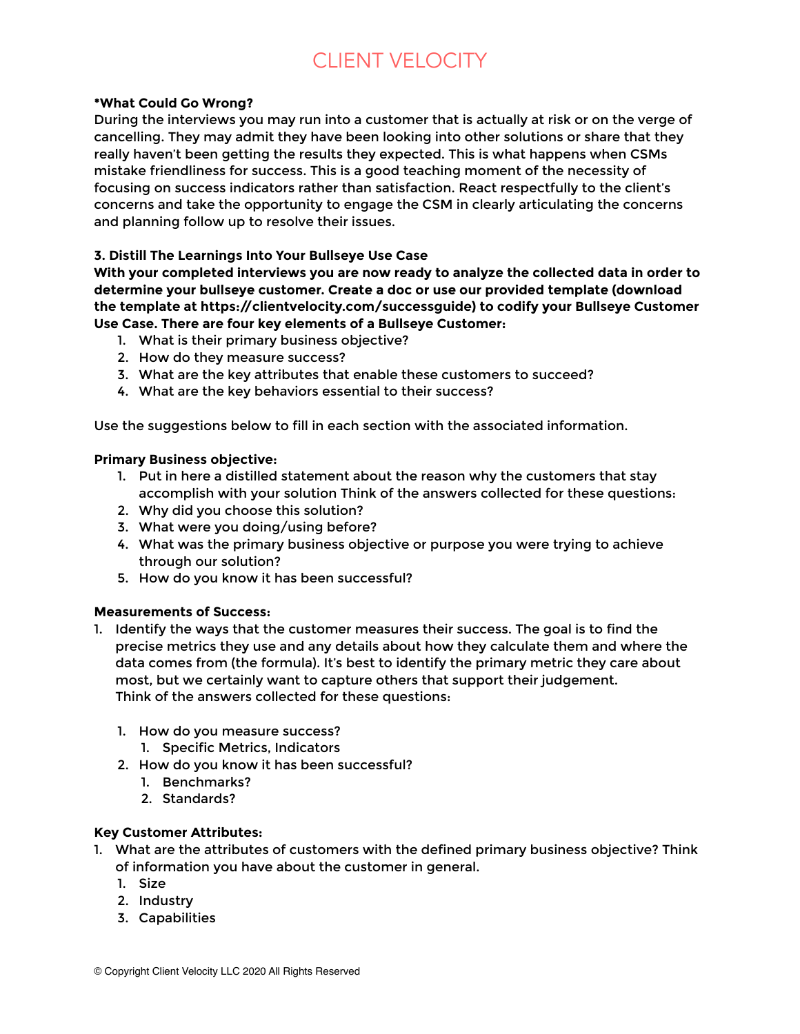#### **\*What Could Go Wrong?**

During the interviews you may run into a customer that is actually at risk or on the verge of cancelling. They may admit they have been looking into other solutions or share that they really haven't been getting the results they expected. This is what happens when CSMs mistake friendliness for success. This is a good teaching moment of the necessity of focusing on success indicators rather than satisfaction. React respectfully to the client's concerns and take the opportunity to engage the CSM in clearly articulating the concerns and planning follow up to resolve their issues.

#### **3. Distill The Learnings Into Your Bullseye Use Case**

**With your completed interviews you are now ready to analyze the collected data in order to determine your bullseye customer. Create a doc or use our provided template (download the template at https://clientvelocity.com/successguide) to codify your Bullseye Customer Use Case. There are four key elements of a Bullseye Customer:** 

- 1. What is their primary business objective?
- 2. How do they measure success?
- 3. What are the key attributes that enable these customers to succeed?
- 4. What are the key behaviors essential to their success?

Use the suggestions below to fill in each section with the associated information.

#### **Primary Business objective:**

- 1. Put in here a distilled statement about the reason why the customers that stay accomplish with your solution Think of the answers collected for these questions:
- 2. Why did you choose this solution?
- 3. What were you doing/using before?
- 4. What was the primary business objective or purpose you were trying to achieve through our solution?
- 5. How do you know it has been successful?

#### **Measurements of Success:**

- 1. Identify the ways that the customer measures their success. The goal is to find the precise metrics they use and any details about how they calculate them and where the data comes from (the formula). It's best to identify the primary metric they care about most, but we certainly want to capture others that support their judgement. Think of the answers collected for these questions:
	- 1. How do you measure success?
		- 1. Specific Metrics, Indicators
	- 2. How do you know it has been successful?
		- 1. Benchmarks?
		- 2. Standards?

#### **Key Customer Attributes:**

- 1. What are the attributes of customers with the defined primary business objective? Think of information you have about the customer in general.
	- 1. Size
	- 2. Industry
	- 3. Capabilities